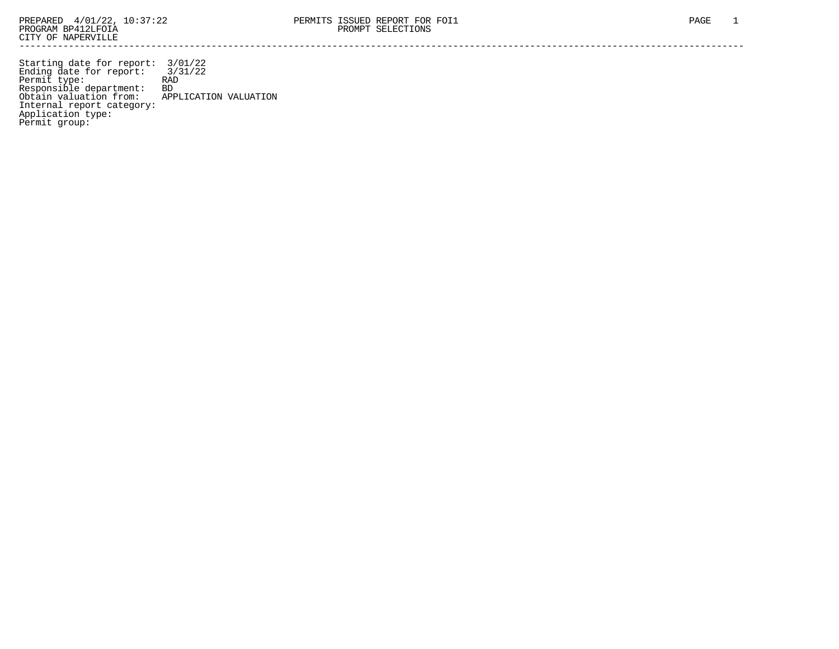Starting date for report: 3/01/22 Ending date for report: 3/31/22 Permit type: RAD Responsible department: BD Obtain valuation from: APPLICATION VALUATION Internal report category: Application type: Permit group: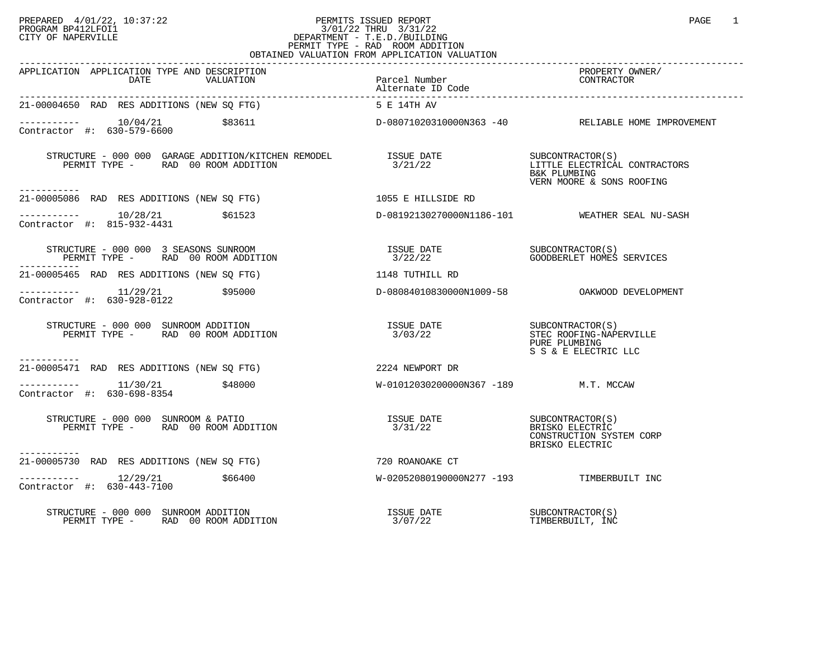## PREPARED 4/01/22, 10:37:22 PERMITS ISSUED REPORT PAGE 1<br>PROGRAM BP412LFOI1 PROGRAM BP412LFOI1 3/01/22 THRU 3/31/22 CITY OF NAPERVILLE **Example 20** CITY OF NAPERVILLE PERMIT TYPE - RAD ROOM ADDITION OBTAINED VALUATION FROM APPLICATION VALUATION

| APPLICATION APPLICATION TYPE AND DESCRIPTION<br>DATE<br>VALUATION                                                  | Parcel Number<br>Alternate ID Code        | PROPERTY OWNER/<br>CONTRACTOR                                                                  |
|--------------------------------------------------------------------------------------------------------------------|-------------------------------------------|------------------------------------------------------------------------------------------------|
| 21-00004650 RAD RES ADDITIONS (NEW SQ FTG)                                                                         | 5 E 14TH AV                               |                                                                                                |
| \$83611                                                                                                            |                                           | D-08071020310000N363 -40 RELIABLE HOME IMPROVEMENT                                             |
| STRUCTURE - 000 000 GARAGE ADDITION/KITCHEN REMODEL ISSUE DATE<br>PERMIT TYPE - RAD 00 ROOM ADDITION<br>---------- | 3/21/22                                   | SUBCONTRACTOR(S)<br>LITTLE ELECTRICAL CONTRACTORS<br>B&K PLUMBING<br>VERN MOORE & SONS ROOFING |
| 21-00005086 RAD RES ADDITIONS (NEW SQ FTG) 1055 E HILLSIDE RD                                                      |                                           |                                                                                                |
| $--------- 10/28/21$ \$61523<br>Contractor #: 815-932-4431                                                         |                                           | D-08192130270000N1186-101 WEATHER SEAL NU-SASH                                                 |
| STRUCTURE - 000 000 3 SEASONS SUNROOM<br>PERMIT TYPE - RAD 00 ROOM ADDITION                                        |                                           |                                                                                                |
| 21-00005465 RAD RES ADDITIONS (NEW SO FTG) 31-00005465 RAD RES ADDITIONS (NEW SO FTG)                              |                                           |                                                                                                |
| $\frac{11}{29/21}$ \$95000<br>Contractor #: 630-928-0122                                                           |                                           | D-08084010830000N1009-58 OAKWOOD DEVELOPMENT                                                   |
| STRUCTURE - 000 000 SUNROOM ADDITION<br>PERMIT TYPE - RAD 00 ROOM ADDITION                                         | ISSUE DATE SUBCONTRACTOR(S)<br>3/03/22    | STEC ROOFING-NAPERVILLE<br>PURE PLUMBING<br>S S & E ELECTRIC LLC                               |
| -----------<br>21-00005471 RAD RES ADDITIONS (NEW SQ FTG) 2224 NEWPORT DR                                          |                                           |                                                                                                |
| $---------$ 11/30/21 \$48000<br>Contractor #: 630-698-8354                                                         | W-01012030200000N367 -189 M.T. MCCAW      |                                                                                                |
| STRUCTURE - 000 000 SUNROOM & PATIO<br>PERMIT TYPE - RAD 00 ROOM ADDITION                                          | <b>ISSUE DATE</b><br>3/31/22              | SUBCONTRACTOR(S)<br>BRISKO ELECTRIC<br>CONSTRUCTION SYSTEM CORP<br>BRISKO ELECTRIC             |
| -----------<br>21-00005730 RAD RES ADDITIONS (NEW SO FTG)                                                          | 720 ROANOAKE CT                           |                                                                                                |
| $--------- 12/29/21$ \$66400<br>Contractor #: 630-443-7100                                                         | W-02052080190000N277 -193 TIMBERBUILT INC |                                                                                                |
| STRUCTURE - 000 000 SUNROOM ADDITION<br>PERMIT TYPE - RAD 00 ROOM ADDITION                                         | ISSUE DATE<br>3/07/22                     | SUBCONTRACTOR(S)<br>TIMBERBUILT, INC                                                           |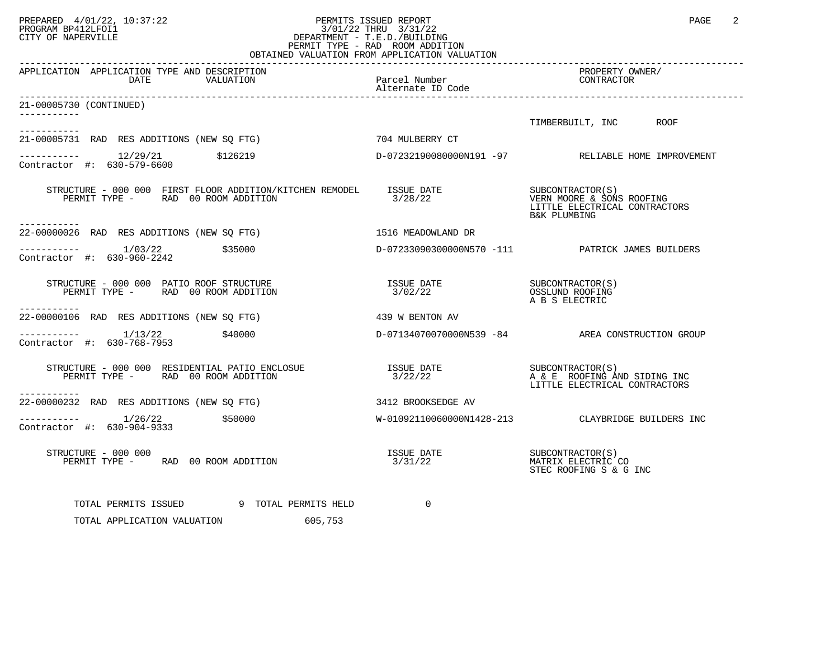## PREPARED 4/01/22, 10:37:22 PERMITS ISSUED REPORT PAGE 2<br>PROGRAM BP412LFOI1 PROGRAM PROGRAM BP412LFOI1 PROGRAM BP412LFOI1 3/01/22 THRU 3/31/22 CITY OF NAPERVILLE **Example 20** CITY OF NAPERVILLE PERMIT TYPE - RAD ROOM ADDITION OBTAINED VALUATION FROM APPLICATION VALUATION

| APPLICATION APPLICATION TYPE AND DESCRIPTION<br>DATE<br>VALUATION                                                                                                 | Parcel Number<br>Alternate ID Code | PROPERTY OWNER/<br>CONTRACTOR                                                                  |
|-------------------------------------------------------------------------------------------------------------------------------------------------------------------|------------------------------------|------------------------------------------------------------------------------------------------|
| 21-00005730 (CONTINUED)                                                                                                                                           |                                    |                                                                                                |
|                                                                                                                                                                   |                                    | TIMBERBUILT, INC ROOF                                                                          |
| ___________                                                                                                                                                       |                                    |                                                                                                |
| 21-00005731 RAD RES ADDITIONS (NEW SQ FTG) 704 MULBERRY CT                                                                                                        |                                    |                                                                                                |
| $\begin{array}{cccc}\n-2 & -2 & -2 & -2 \\ \text{Contractor} & +2 & 630-579-6600 & & 5126219\n\end{array}$                                                        |                                    | D-07232190080000N191 -97 RELIABLE HOME IMPROVEMENT                                             |
| STRUCTURE - 000 000 FIRST FLOOR ADDITION/KITCHEN REMODEL<br>PERMIT TYPE - RAD 00 ROOM ADDITION                                                                    | ISSUE DATE<br>3/28/22              | SUBCONTRACTOR(S)<br>VERN MOORE & SONS ROOFING<br>LITTLE ELECTRICAL CONTRACTORS<br>B&K PLUMBING |
| -----------<br>22-00000026 RAD RES ADDITIONS (NEW SO FTG)                                                                                                         | 1516 MEADOWLAND DR                 |                                                                                                |
| $--------- 1/03/22$ \$35000<br>Contractor #: 630-960-2242                                                                                                         |                                    | D-07233090300000N570 -111 PATRICK JAMES BUILDERS                                               |
| STRUCTURE - 000 000 PATIO ROOF STRUCTURE<br>PERMIT TYPE - RAD 00 ROOM ADDITION<br>-----------                                                                     |                                    | A B S ELECTRIC                                                                                 |
| 22-00000106 RAD RES ADDITIONS (NEW SQ FTG)                                                                                                                        | 439 W BENTON AV                    |                                                                                                |
| $------ 1/13/22$<br>\$40000<br>Contractor #: 630-768-7953                                                                                                         |                                    | D-07134070070000N539 -84 AREA CONSTRUCTION GROUP                                               |
| STRUCTURE - 000 000 RESIDENTIAL PATIO ENCLOSUE                 ISSUE DATE                   SUBCONTRACTOR(S)<br>PERMIT TYPE - RAD 00 ROOM ADDITION<br>----------- | 3/22/22                            | A & E ROOFING AND SIDING INC<br>LITTLE ELECTRICAL CONTRACTORS                                  |
| 22-00000232 RAD RES ADDITIONS (NEW SQ FTG)                                                                                                                        | 3412 BROOKSEDGE AV                 |                                                                                                |
| $------$ 1/26/22 \$50000<br>Contractor #: 630-904-9333                                                                                                            |                                    | W-01092110060000N1428-213 CLAYBRIDGE BUILDERS INC                                              |
| STRUCTURE - 000 000<br>PERMIT TYPE - RAD 00 ROOM ADDITION                                                                                                         | ISSUE DATE<br>3/31/22              | SUBCONTRACTOR(S)<br>MATRIX ELECTRIC CO<br>STEC ROOFING S & G INC                               |
| TOTAL PERMITS ISSUED 9 TOTAL PERMITS HELD<br>TOTAL APPLICATION VALUATION 605,753                                                                                  | $\Omega$                           |                                                                                                |